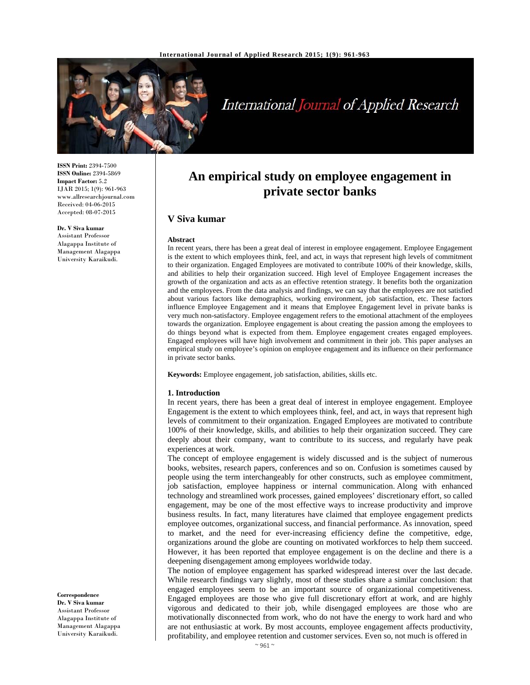

# International Journal of Applied Research

**ISSN Print:** 2394-7500 **ISSN Online:** 2394-5869 **Impact Factor:** 5.2 IJAR 2015; 1(9): 961-963 www.allresearchjournal.com Received: 04-06-2015 Accepted: 08-07-2015

# **Dr. V Siva kumar**

Assistant Professor Alagappa Institute of Management Alagappa University Karaikudi.

**An empirical study on employee engagement in private sector banks** 

# **V Siva kumar**

#### **Abstract**

In recent years, there has been a great deal of interest in employee engagement. Employee Engagement is the extent to which employees think, feel, and act, in ways that represent high levels of commitment to their organization. Engaged Employees are motivated to contribute 100% of their knowledge, skills, and abilities to help their organization succeed. High level of Employee Engagement increases the growth of the organization and acts as an effective retention strategy. It benefits both the organization and the employees. From the data analysis and findings, we can say that the employees are not satisfied about various factors like demographics, working environment, job satisfaction, etc. These factors influence Employee Engagement and it means that Employee Engagement level in private banks is very much non-satisfactory. Employee engagement refers to the emotional attachment of the employees towards the organization. Employee engagement is about creating the passion among the employees to do things beyond what is expected from them. Employee engagement creates engaged employees. Engaged employees will have high involvement and commitment in their job. This paper analyses an empirical study on employee's opinion on employee engagement and its influence on their performance in private sector banks.

**Keywords:** Employee engagement, job satisfaction, abilities, skills etc.

#### **1. Introduction**

In recent years, there has been a great deal of interest in employee engagement. Employee Engagement is the extent to which employees think, feel, and act, in ways that represent high levels of commitment to their organization. Engaged Employees are motivated to contribute 100% of their knowledge, skills, and abilities to help their organization succeed. They care deeply about their company, want to contribute to its success, and regularly have peak experiences at work.

The concept of employee engagement is widely discussed and is the subject of numerous books, websites, research papers, conferences and so on. Confusion is sometimes caused by people using the term interchangeably for other constructs, such as employee commitment, job satisfaction, employee happiness or internal communication. Along with enhanced technology and streamlined work processes, gained employees' discretionary effort, so called engagement, may be one of the most effective ways to increase productivity and improve business results. In fact, many literatures have claimed that employee engagement predicts employee outcomes, organizational success, and financial performance. As innovation, speed to market, and the need for ever-increasing efficiency define the competitive, edge, organizations around the globe are counting on motivated workforces to help them succeed. However, it has been reported that employee engagement is on the decline and there is a deepening disengagement among employees worldwide today.

The notion of employee engagement has sparked widespread interest over the last decade. While research findings vary slightly, most of these studies share a similar conclusion: that engaged employees seem to be an important source of organizational competitiveness. Engaged employees are those who give full discretionary effort at work, and are highly vigorous and dedicated to their job, while disengaged employees are those who are motivationally disconnected from work, who do not have the energy to work hard and who are not enthusiastic at work. By most accounts, employee engagement affects productivity, profitability, and employee retention and customer services. Even so, not much is offered in

#### **Correspondence**

**Dr. V Siva kumar**  Assistant Professor Alagappa Institute of Management Alagappa University Karaikudi.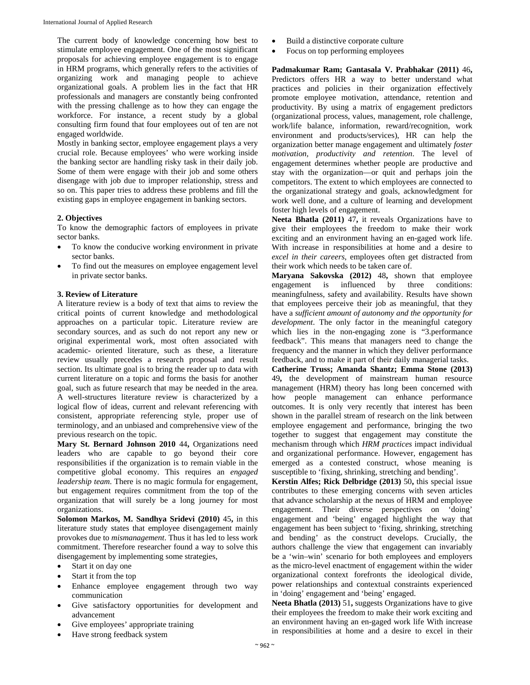The current body of knowledge concerning how best to stimulate employee engagement. One of the most significant proposals for achieving employee engagement is to engage in HRM programs, which generally refers to the activities of organizing work and managing people to achieve organizational goals. A problem lies in the fact that HR professionals and managers are constantly being confronted with the pressing challenge as to how they can engage the workforce. For instance, a recent study by a global consulting firm found that four employees out of ten are not engaged worldwide.

Mostly in banking sector, employee engagement plays a very crucial role. Because employees' who were working inside the banking sector are handling risky task in their daily job. Some of them were engage with their job and some others disengage with job due to improper relationship, stress and so on. This paper tries to address these problems and fill the existing gaps in employee engagement in banking sectors.

## **2. Objectives**

To know the demographic factors of employees in private sector banks.

- To know the conducive working environment in private sector banks.
- To find out the measures on employee engagement level in private sector banks.

### **3. Review of Literature**

A literature review is a body of text that aims to review the critical points of current knowledge and methodological approaches on a particular topic. Literature review are secondary sources, and as such do not report any new or original experimental work, most often associated with academic- oriented literature, such as these, a literature review usually precedes a research proposal and result section. Its ultimate goal is to bring the reader up to data with current literature on a topic and forms the basis for another goal, such as future research that may be needed in the area. A well-structures literature review is characterized by a logical flow of ideas, current and relevant referencing with consistent, appropriate referencing style, proper use of terminology, and an unbiased and comprehensive view of the previous research on the topic.

**Mary St. Bernard Johnson 2010** 44**,** Organizations need leaders who are capable to go beyond their core responsibilities if the organization is to remain viable in the competitive global economy. This requires an *engaged leadership team*. There is no magic formula for engagement, but engagement requires commitment from the top of the organization that will surely be a long journey for most organizations.

**Solomon Markos, M. Sandhya Sridevi (2010)** 45**,** in this literature study states that employee disengagement mainly provokes due to *mismanagement*. Thus it has led to less work commitment. Therefore researcher found a way to solve this disengagement by implementing some strategies,

- Start it on day one
- Start it from the top
- Enhance employee engagement through two way communication
- Give satisfactory opportunities for development and advancement
- Give employees' appropriate training
- Have strong feedback system
- Build a distinctive corporate culture
- Focus on top performing employees

**Padmakumar Ram; Gantasala V. Prabhakar (2011)** 46**,** Predictors offers HR a way to better understand what practices and policies in their organization effectively promote employee motivation, attendance, retention and productivity. By using a matrix of engagement predictors (organizational process, values, management, role challenge, work/life balance, information, reward/recognition, work environment and products/services), HR can help the organization better manage engagement and ultimately *foster motivation, productivity and retention*. The level of engagement determines whether people are productive and stay with the organization—or quit and perhaps join the competitors. The extent to which employees are connected to the organizational strategy and goals, acknowledgment for work well done, and a culture of learning and development foster high levels of engagement.

**Neeta Bhatla (2011)** 47**,** it reveals Organizations have to give their employees the freedom to make their work exciting and an environment having an en-gaged work life. With increase in responsibilities at home and a desire to *excel in their careers*, employees often get distracted from their work which needs to be taken care of.

**Maryana Sakovska (2012)** 48**,** shown that employee engagement is influenced by three conditions: meaningfulness, safety and availability. Results have shown that employees perceive their job as meaningful, that they have a *sufficient amount of autonomy and the opportunity for development*. The only factor in the meaningful category which lies in the non-engaging zone is "3.performance feedback". This means that managers need to change the frequency and the manner in which they deliver performance feedback, and to make it part of their daily managerial tasks.

**Catherine Truss; Amanda Shantz; Emma Stone (2013)**  49**,** the development of mainstream human resource management (HRM) theory has long been concerned with how people management can enhance performance outcomes. It is only very recently that interest has been shown in the parallel stream of research on the link between employee engagement and performance, bringing the two together to suggest that engagement may constitute the mechanism through which *HRM practices* impact individual and organizational performance. However, engagement has emerged as a contested construct, whose meaning is susceptible to 'fixing, shrinking, stretching and bending'.

**Kerstin Alfes; Rick Delbridge (2013)** 50**,** this special issue contributes to these emerging concerns with seven articles that advance scholarship at the nexus of HRM and employee engagement. Their diverse perspectives on 'doing' engagement and 'being' engaged highlight the way that engagement has been subject to 'fixing, shrinking, stretching and bending' as the construct develops. Crucially, the authors challenge the view that engagement can invariably be a 'win–win' scenario for both employees and employers as the micro-level enactment of engagement within the wider organizational context forefronts the ideological divide, power relationships and contextual constraints experienced in 'doing' engagement and 'being' engaged.

**Neeta Bhatla (2013)** 51**,** suggests Organizations have to give their employees the freedom to make their work exciting and an environment having an en-gaged work life With increase in responsibilities at home and a desire to excel in their